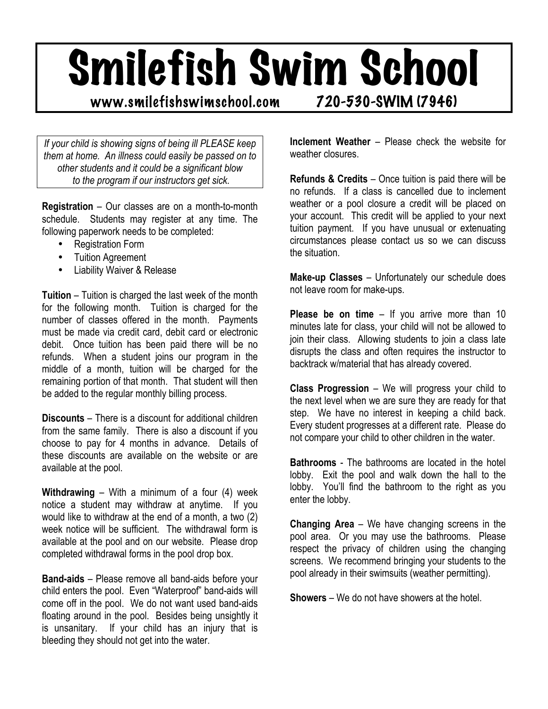## Smilefish Swim School

## www.smilefishswimschool.com 720-530-SWIM (7946)

*If your child is showing signs of being ill PLEASE keep them at home. An illness could easily be passed on to other students and it could be a significant blow to the program if our instructors get sick.*

**Registration** – Our classes are on a month-to-month schedule. Students may register at any time. The following paperwork needs to be completed:

- Registration Form
- Tuition Agreement
- Liability Waiver & Release

**Tuition** – Tuition is charged the last week of the month for the following month. Tuition is charged for the number of classes offered in the month. Payments must be made via credit card, debit card or electronic debit. Once tuition has been paid there will be no refunds. When a student joins our program in the middle of a month, tuition will be charged for the remaining portion of that month. That student will then be added to the regular monthly billing process.

**Discounts** – There is a discount for additional children from the same family. There is also a discount if you choose to pay for 4 months in advance. Details of these discounts are available on the website or are available at the pool.

**Withdrawing** – With a minimum of a four (4) week notice a student may withdraw at anytime. If you would like to withdraw at the end of a month, a two (2) week notice will be sufficient. The withdrawal form is available at the pool and on our website. Please drop completed withdrawal forms in the pool drop box.

**Band-aids** – Please remove all band-aids before your child enters the pool. Even "Waterproof" band-aids will come off in the pool. We do not want used band-aids floating around in the pool. Besides being unsightly it is unsanitary. If your child has an injury that is bleeding they should not get into the water.

**Inclement Weather** – Please check the website for weather closures.

**Refunds & Credits** – Once tuition is paid there will be no refunds. If a class is cancelled due to inclement weather or a pool closure a credit will be placed on your account. This credit will be applied to your next tuition payment. If you have unusual or extenuating circumstances please contact us so we can discuss the situation.

**Make-up Classes** – Unfortunately our schedule does not leave room for make-ups.

**Please be on time** – If you arrive more than 10 minutes late for class, your child will not be allowed to join their class. Allowing students to join a class late disrupts the class and often requires the instructor to backtrack w/material that has already covered.

**Class Progression** – We will progress your child to the next level when we are sure they are ready for that step. We have no interest in keeping a child back. Every student progresses at a different rate. Please do not compare your child to other children in the water.

**Bathrooms** - The bathrooms are located in the hotel lobby. Exit the pool and walk down the hall to the lobby. You'll find the bathroom to the right as you enter the lobby.

**Changing Area** – We have changing screens in the pool area. Or you may use the bathrooms. Please respect the privacy of children using the changing screens. We recommend bringing your students to the pool already in their swimsuits (weather permitting).

**Showers** – We do not have showers at the hotel.